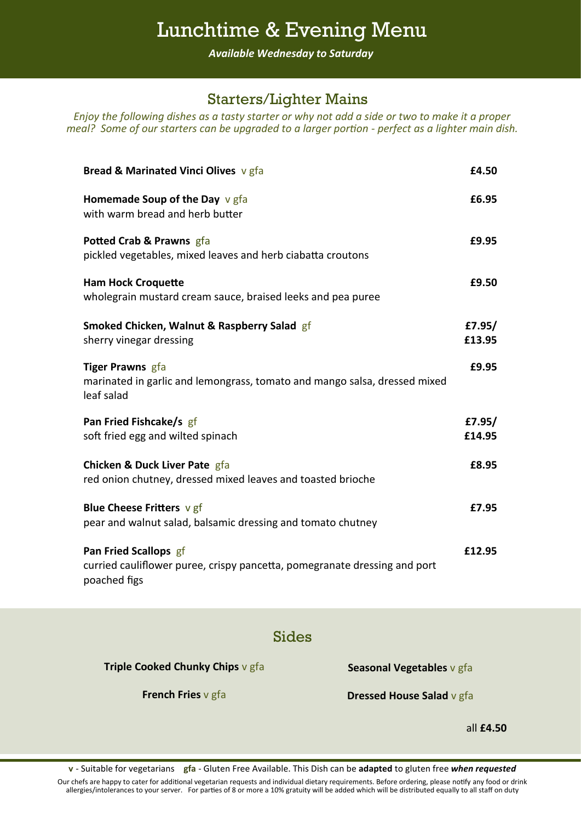## Lunchtime & Evening Menu

*Available Wednesday to Saturday*

### Starters/Lighter Mains

*Enjoy the following dishes as a tasty starter or why not add a side or two to make it a proper meal?* Some of our starters can be upgraded to a larger portion - perfect as a lighter main dish.

| Bread & Marinated Vinci Olives v gfa                                                                               | £4.50            |
|--------------------------------------------------------------------------------------------------------------------|------------------|
| Homemade Soup of the Day $v$ gfa<br>with warm bread and herb butter                                                | £6.95            |
| Potted Crab & Prawns gfa<br>pickled vegetables, mixed leaves and herb ciabatta croutons                            | £9.95            |
| <b>Ham Hock Croquette</b><br>wholegrain mustard cream sauce, braised leeks and pea puree                           | £9.50            |
| Smoked Chicken, Walnut & Raspberry Salad gf<br>sherry vinegar dressing                                             | £7.95/<br>£13.95 |
| <b>Tiger Prawns</b> gfa<br>marinated in garlic and lemongrass, tomato and mango salsa, dressed mixed<br>leaf salad | £9.95            |
| Pan Fried Fishcake/s gf<br>soft fried egg and wilted spinach                                                       | £7.95/<br>£14.95 |
| <b>Chicken &amp; Duck Liver Pate gfa</b><br>red onion chutney, dressed mixed leaves and toasted brioche            | £8.95            |
| <b>Blue Cheese Fritters v gf</b><br>pear and walnut salad, balsamic dressing and tomato chutney                    | £7.95            |
| Pan Fried Scallops gf<br>curried cauliflower puree, crispy pancetta, pomegranate dressing and port<br>poached figs | £12.95           |

#### Sides

**Triple Cooked Chunky Chips** v gfa

**Seasonal Vegetables** v gfa

**French Fries** v gfa

**Dressed House Salad** v gfa

all **£4.50**